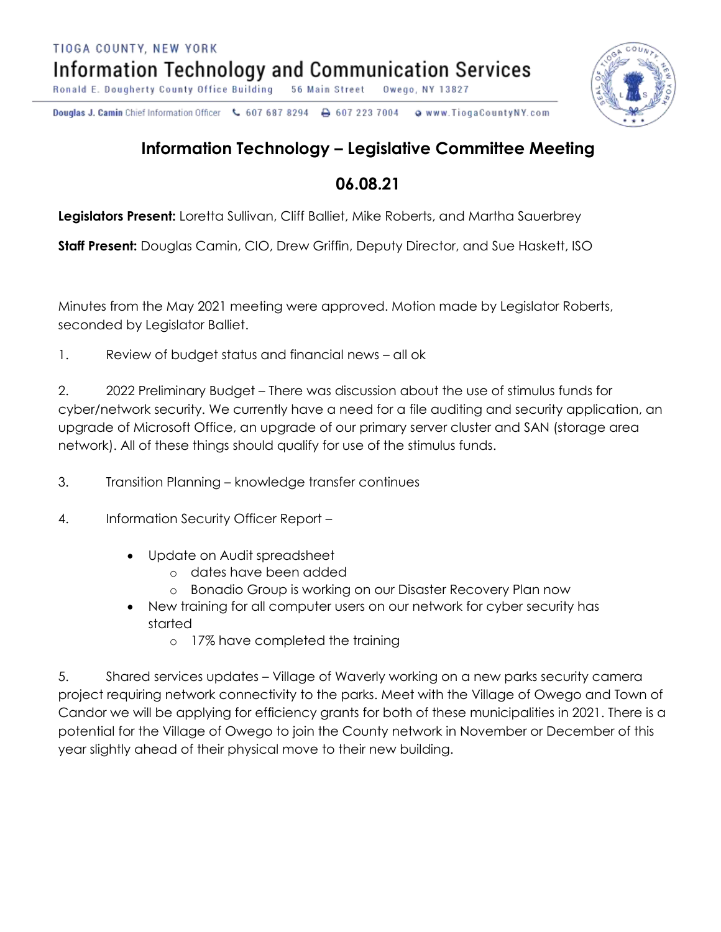Ronald E. Dougherty County Office Building 56 Main Street Owego, NY 13827

Douglas J. Camin Chief Information Officer < 607 687 8294 o www.TiogaCountyNY.com → 607 223 7004

## **Information Technology – Legislative Committee Meeting**

## **06.08.21**

**Legislators Present:** Loretta Sullivan, Cliff Balliet, Mike Roberts, and Martha Sauerbrey

**Staff Present:** Douglas Camin, CIO, Drew Griffin, Deputy Director, and Sue Haskett, ISO

Minutes from the May 2021 meeting were approved. Motion made by Legislator Roberts, seconded by Legislator Balliet.

1. Review of budget status and financial news – all ok

2. 2022 Preliminary Budget – There was discussion about the use of stimulus funds for cyber/network security. We currently have a need for a file auditing and security application, an upgrade of Microsoft Office, an upgrade of our primary server cluster and SAN (storage area network). All of these things should qualify for use of the stimulus funds.

3. Transition Planning – knowledge transfer continues

4. Information Security Officer Report –

- Update on Audit spreadsheet
	- o dates have been added
	- o Bonadio Group is working on our Disaster Recovery Plan now
- New training for all computer users on our network for cyber security has started
	- o 17% have completed the training

5. Shared services updates – Village of Waverly working on a new parks security camera project requiring network connectivity to the parks. Meet with the Village of Owego and Town of Candor we will be applying for efficiency grants for both of these municipalities in 2021. There is a potential for the Village of Owego to join the County network in November or December of this year slightly ahead of their physical move to their new building.